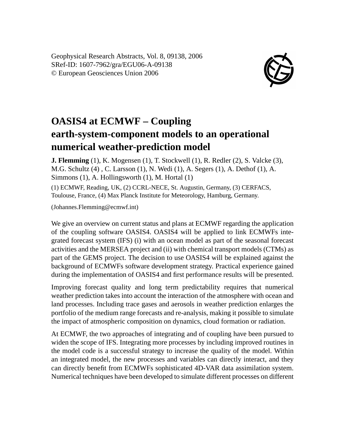Geophysical Research Abstracts, Vol. 8, 09138, 2006 SRef-ID: 1607-7962/gra/EGU06-A-09138 © European Geosciences Union 2006



## **OASIS4 at ECMWF – Coupling earth-system-component models to an operational numerical weather-prediction model**

**J. Flemming** (1), K. Mogensen (1), T. Stockwell (1), R. Redler (2), S. Valcke (3), M.G. Schultz (4) , C. Larsson (1), N. Wedi (1), A. Segers (1), A. Dethof (1), A. Simmons (1), A. Hollingsworth (1), M. Hortal (1)

(1) ECMWF, Reading, UK, (2) CCRL-NECE, St. Augustin, Germany, (3) CERFACS, Toulouse, France, (4) Max Planck Institute for Meteorology, Hamburg, Germany.

(Johannes.Flemming@ecmwf.int)

We give an overview on current status and plans at ECMWF regarding the application of the coupling software OASIS4. OASIS4 will be applied to link ECMWFs integrated forecast system (IFS) (i) with an ocean model as part of the seasonal forecast activities and the MERSEA project and (ii) with chemical transport models (CTMs) as part of the GEMS project. The decision to use OASIS4 will be explained against the background of ECMWFs software development strategy. Practical experience gained during the implementation of OASIS4 and first performance results will be presented.

Improving forecast quality and long term predictability requires that numerical weather prediction takes into account the interaction of the atmosphere with ocean and land processes. Including trace gases and aerosols in weather prediction enlarges the portfolio of the medium range forecasts and re-analysis, making it possible to simulate the impact of atmospheric composition on dynamics, cloud formation or radiation.

At ECMWF, the two approaches of integrating and of coupling have been pursued to widen the scope of IFS. Integrating more processes by including improved routines in the model code is a successful strategy to increase the quality of the model. Within an integrated model, the new processes and variables can directly interact, and they can directly benefit from ECMWFs sophisticated 4D-VAR data assimilation system. Numerical techniques have been developed to simulate different processes on different